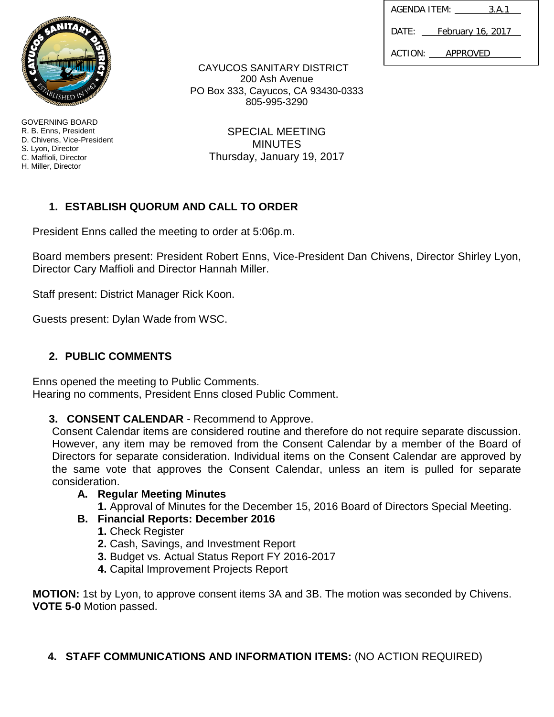| AGENDA ITEM: |  | 3.A.1                    |  |
|--------------|--|--------------------------|--|
| DATF:        |  | <u>February 16, 2017</u> |  |
| ACTION:      |  | APPROVED                 |  |



GOVERNING BOARD R. B. Enns, President D. Chivens, Vice-President S. Lyon, Director C. Maffioli, Director H. Miller, Director

CAYUCOS SANITARY DISTRICT 200 Ash Avenue PO Box 333, Cayucos, CA 93430-0333 805-995-3290

> SPECIAL MEETING **MINUTES** Thursday, January 19, 2017

# **1. ESTABLISH QUORUM AND CALL TO ORDER**

President Enns called the meeting to order at 5:06p.m.

Board members present: President Robert Enns, Vice-President Dan Chivens, Director Shirley Lyon, Director Cary Maffioli and Director Hannah Miller.

Staff present: District Manager Rick Koon.

Guests present: Dylan Wade from WSC.

## **2. PUBLIC COMMENTS**

Enns opened the meeting to Public Comments. Hearing no comments, President Enns closed Public Comment.

**3. CONSENT CALENDAR** - Recommend to Approve.

Consent Calendar items are considered routine and therefore do not require separate discussion. However, any item may be removed from the Consent Calendar by a member of the Board of Directors for separate consideration. Individual items on the Consent Calendar are approved by the same vote that approves the Consent Calendar, unless an item is pulled for separate consideration.

## **A. Regular Meeting Minutes**

**1.** Approval of Minutes for the December 15, 2016 Board of Directors Special Meeting.

## **B. Financial Reports: December 2016**

- **1.** Check Register
- **2.** Cash, Savings, and Investment Report
- **3.** Budget vs. Actual Status Report FY 2016-2017
- **4.** Capital Improvement Projects Report

**MOTION:** 1st by Lyon, to approve consent items 3A and 3B. The motion was seconded by Chivens. **VOTE 5-0** Motion passed.

## **4. STAFF COMMUNICATIONS AND INFORMATION ITEMS:** (NO ACTION REQUIRED)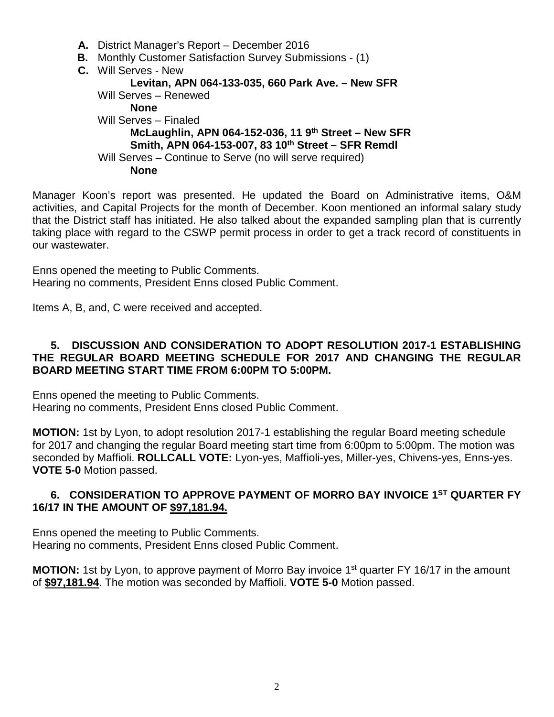- **A.** District Manager's Report December 2016
- **B.** Monthly Customer Satisfaction Survey Submissions (1)
- **C.** Will Serves New

#### **Levitan, APN 064-133-035, 660 Park Ave. – New SFR**

Will Serves – Renewed **None** Will Serves – Finaled **McLaughlin, APN 064-152-036, 11 9th Street – New SFR Smith, APN 064-153-007, 83 10th Street – SFR Remdl** Will Serves – Continue to Serve (no will serve required) **None**

Manager Koon's report was presented. He updated the Board on Administrative items, O&M activities, and Capital Projects for the month of December. Koon mentioned an informal salary study that the District staff has initiated. He also talked about the expanded sampling plan that is currently taking place with regard to the CSWP permit process in order to get a track record of constituents in our wastewater.

Enns opened the meeting to Public Comments. Hearing no comments, President Enns closed Public Comment.

Items A, B, and, C were received and accepted.

#### **5. DISCUSSION AND CONSIDERATION TO ADOPT RESOLUTION 2017-1 ESTABLISHING THE REGULAR BOARD MEETING SCHEDULE FOR 2017 AND CHANGING THE REGULAR BOARD MEETING START TIME FROM 6:00PM TO 5:00PM.**

Enns opened the meeting to Public Comments. Hearing no comments, President Enns closed Public Comment.

**MOTION:** 1st by Lyon, to adopt resolution 2017-1 establishing the regular Board meeting schedule for 2017 and changing the regular Board meeting start time from 6:00pm to 5:00pm. The motion was seconded by Maffioli. **ROLLCALL VOTE:** Lyon-yes, Maffioli-yes, Miller-yes, Chivens-yes, Enns-yes. **VOTE 5-0** Motion passed.

### **6. CONSIDERATION TO APPROVE PAYMENT OF MORRO BAY INVOICE 1ST QUARTER FY 16/17 IN THE AMOUNT OF \$97,181.94.**

Enns opened the meeting to Public Comments. Hearing no comments, President Enns closed Public Comment.

**MOTION:** 1st by Lyon, to approve payment of Morro Bay invoice 1<sup>st</sup> quarter FY 16/17 in the amount of **\$97,181.94**. The motion was seconded by Maffioli. **VOTE 5-0** Motion passed.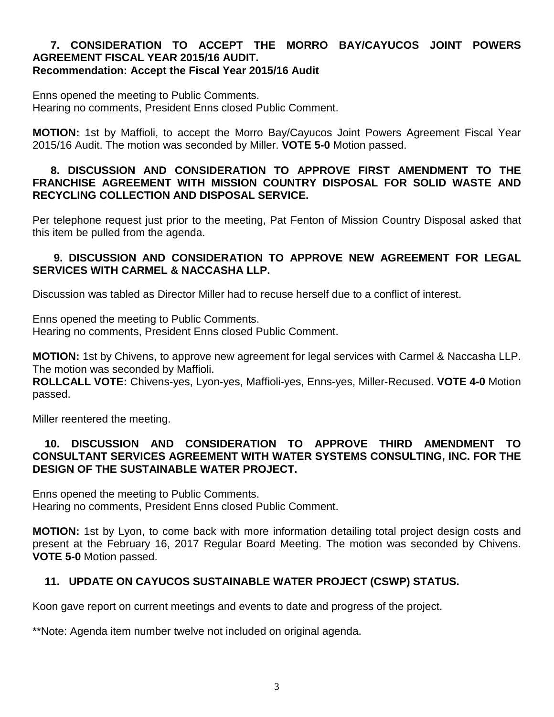#### **7. CONSIDERATION TO ACCEPT THE MORRO BAY/CAYUCOS JOINT POWERS AGREEMENT FISCAL YEAR 2015/16 AUDIT. Recommendation: Accept the Fiscal Year 2015/16 Audit**

Enns opened the meeting to Public Comments. Hearing no comments, President Enns closed Public Comment.

**MOTION:** 1st by Maffioli, to accept the Morro Bay/Cayucos Joint Powers Agreement Fiscal Year 2015/16 Audit. The motion was seconded by Miller. **VOTE 5-0** Motion passed.

### **8. DISCUSSION AND CONSIDERATION TO APPROVE FIRST AMENDMENT TO THE FRANCHISE AGREEMENT WITH MISSION COUNTRY DISPOSAL FOR SOLID WASTE AND RECYCLING COLLECTION AND DISPOSAL SERVICE.**

Per telephone request just prior to the meeting, Pat Fenton of Mission Country Disposal asked that this item be pulled from the agenda.

## **9. DISCUSSION AND CONSIDERATION TO APPROVE NEW AGREEMENT FOR LEGAL SERVICES WITH CARMEL & NACCASHA LLP.**

Discussion was tabled as Director Miller had to recuse herself due to a conflict of interest.

Enns opened the meeting to Public Comments. Hearing no comments, President Enns closed Public Comment.

**MOTION:** 1st by Chivens, to approve new agreement for legal services with Carmel & Naccasha LLP. The motion was seconded by Maffioli.

**ROLLCALL VOTE:** Chivens-yes, Lyon-yes, Maffioli-yes, Enns-yes, Miller-Recused. **VOTE 4-0** Motion passed.

Miller reentered the meeting.

#### **10. DISCUSSION AND CONSIDERATION TO APPROVE THIRD AMENDMENT TO CONSULTANT SERVICES AGREEMENT WITH WATER SYSTEMS CONSULTING, INC. FOR THE DESIGN OF THE SUSTAINABLE WATER PROJECT.**

Enns opened the meeting to Public Comments. Hearing no comments, President Enns closed Public Comment.

**MOTION:** 1st by Lyon, to come back with more information detailing total project design costs and present at the February 16, 2017 Regular Board Meeting. The motion was seconded by Chivens. **VOTE 5-0** Motion passed.

## **11. UPDATE ON CAYUCOS SUSTAINABLE WATER PROJECT (CSWP) STATUS.**

Koon gave report on current meetings and events to date and progress of the project.

\*\*Note: Agenda item number twelve not included on original agenda.